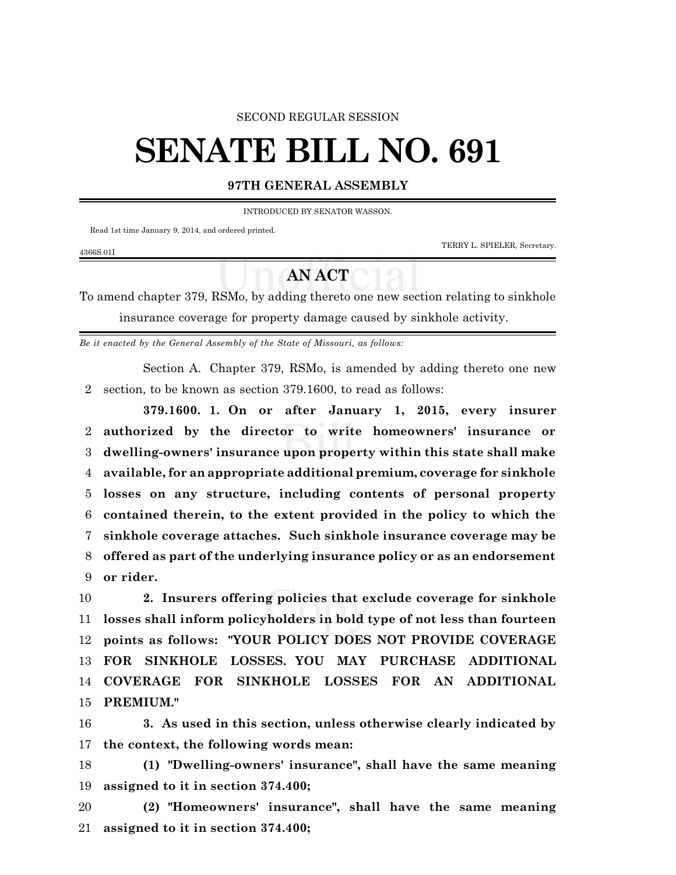## SECOND REGULAR SESSION

## **SENATE BILL NO. 691**

## **97TH GENERAL ASSEMBLY**

INTRODUCED BY SENATOR WASSON.

Read 1st time January 9, 2014, and ordered printed.

4366S.01I

TERRY L. SPIELER, Secretary.

## **AN ACT**

To amend chapter 379, RSMo, by adding thereto one new section relating to sinkhole insurance coverage for property damage caused by sinkhole activity.

*Be it enacted by the General Assembly of the State of Missouri, as follows:*

Section A. Chapter 379, RSMo, is amended by adding thereto one new section, to be known as section 379.1600, to read as follows:

**379.1600. 1. On or after January 1, 2015, every insurer authorized by the director to write homeowners' insurance or dwelling-owners' insurance upon property within this state shall make available, for an appropriate additional premium, coverage for sinkhole losses on any structure, including contents of personal property contained therein, to the extent provided in the policy to which the sinkhole coverage attaches. Such sinkhole insurance coverage may be offered as part of the underlying insurance policy or as an endorsement or rider.**

 **2. Insurers offering policies that exclude coverage for sinkhole losses shall inform policyholders in bold type of not less than fourteen points as follows: "YOUR POLICY DOES NOT PROVIDE COVERAGE FOR SINKHOLE LOSSES. YOU MAY PURCHASE ADDITIONAL COVERAGE FOR SINKHOLE LOSSES FOR AN ADDITIONAL PREMIUM."**

 **3. As used in this section, unless otherwise clearly indicated by the context, the following words mean:**

 **(1) "Dwelling-owners' insurance", shall have the same meaning assigned to it in section 374.400;**

 **(2) "Homeowners' insurance", shall have the same meaning assigned to it in section 374.400;**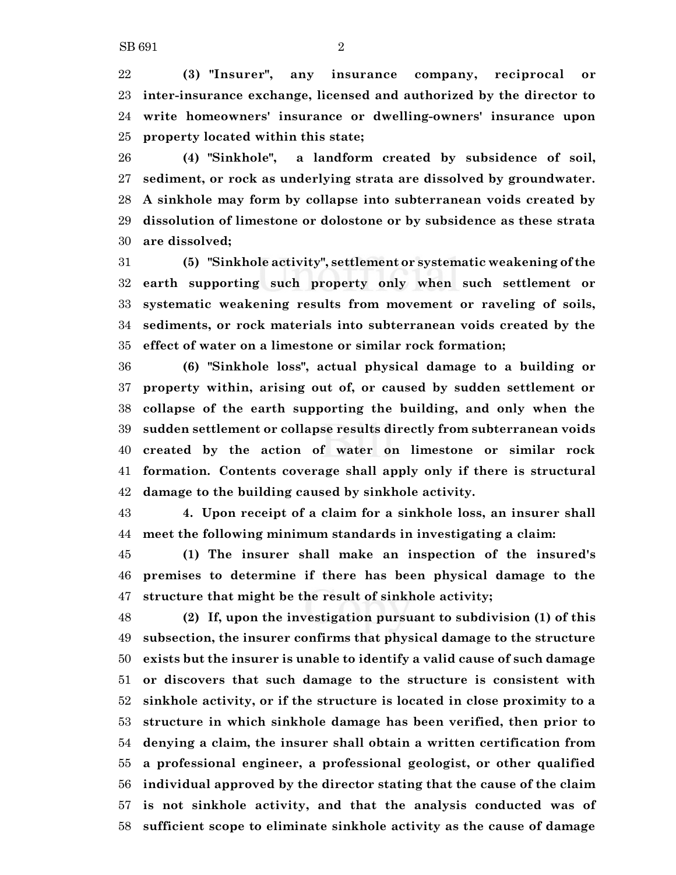**(3) "Insurer", any insurance company, reciprocal or inter-insurance exchange, licensed and authorized by the director to write homeowners' insurance or dwelling-owners' insurance upon property located within this state;**

 **(4) "Sinkhole", a landform created by subsidence of soil, sediment, or rock as underlying strata are dissolved by groundwater. A sinkhole may form by collapse into subterranean voids created by dissolution of limestone or dolostone or by subsidence as these strata are dissolved;**

 **(5) "Sinkhole activity", settlement or systematic weakening of the earth supporting such property only when such settlement or systematic weakening results from movement or raveling of soils, sediments, or rock materials into subterranean voids created by the effect of water on a limestone or similar rock formation;**

 **(6) "Sinkhole loss", actual physical damage to a building or property within, arising out of, or caused by sudden settlement or collapse of the earth supporting the building, and only when the sudden settlement or collapse results directly from subterranean voids created by the action of water on limestone or similar rock formation. Contents coverage shall apply only if there is structural damage to the building caused by sinkhole activity.**

 **4. Upon receipt of a claim for a sinkhole loss, an insurer shall meet the following minimum standards in investigating a claim:**

 **(1) The insurer shall make an inspection of the insured's premises to determine if there has been physical damage to the structure that might be the result of sinkhole activity;**

 **(2) If, upon the investigation pursuant to subdivision (1) of this subsection, the insurer confirms that physical damage to the structure exists but the insurer is unable to identify a valid cause of such damage or discovers that such damage to the structure is consistent with sinkhole activity, or if the structure is located in close proximity to a structure in which sinkhole damage has been verified, then prior to denying a claim, the insurer shall obtain a written certification from a professional engineer, a professional geologist, or other qualified individual approved by the director stating that the cause of the claim is not sinkhole activity, and that the analysis conducted was of sufficient scope to eliminate sinkhole activity as the cause of damage**